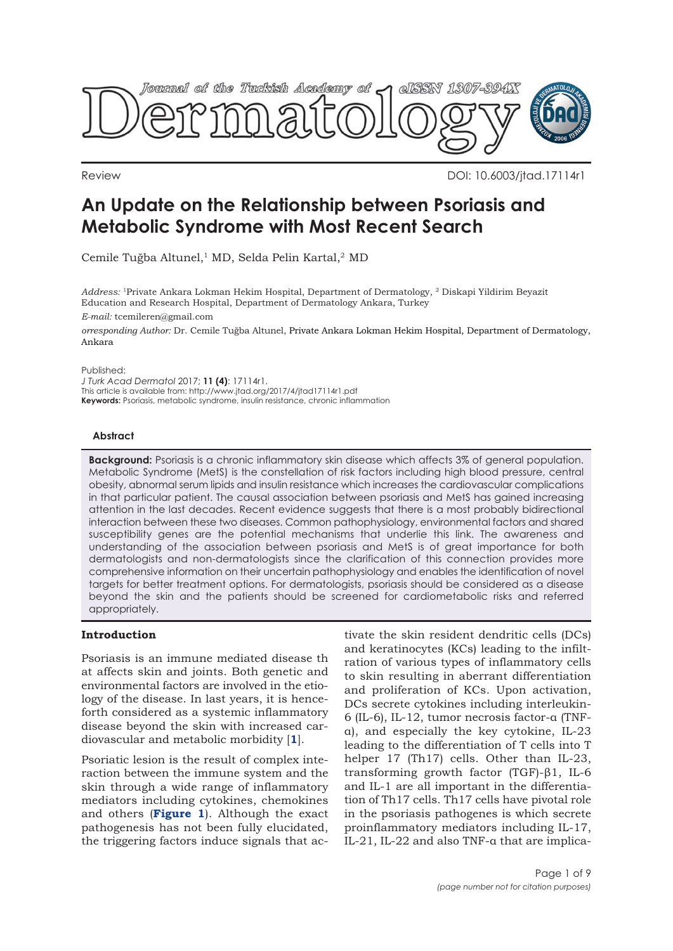

Review DOI: 10.6003/jtad.17114r1

# **An Update on the Relationship between Psoriasis and Metabolic Syndrome with Most Recent Search**

Cemile Tuğba Altunel,<sup>1</sup> MD, Selda Pelin Kartal,<sup>2</sup> MD

*Address:* 1Private Ankara Lokman Hekim Hospital, Department of Dermatology, 2 Diskapi Yildirim Beyazit Education and Research Hospital, Department of Dermatology Ankara, Turkey

*E-mail:* tcemileren@gmail.com

*orresponding Author:* Dr. Cemile Tuğba Altunel, Private Ankara Lokman Hekim Hospital, Department of Dermatology, Ankara

Published:

*J Turk Acad Dermatol* 2017; **11 (4)**: 17114r1. This article is available from: http://www.jtad.org/2017/4/jtad17114r1.pdf **Keywords:** Psoriasis, metabolic syndrome, insulin resistance, chronic inflammation

### **Abstract**

**Background:** Psoriasis is a chronic inflammatory skin disease which affects 3% of general population. Metabolic Syndrome (MetS) is the constellation of risk factors including high blood pressure, central obesity, abnormal serum lipids and insulin resistance which increases the cardiovascular complications in that particular patient. The causal association between psoriasis and MetS has gained increasing attention in the last decades. Recent evidence suggests that there is a most probably bidirectional interaction between these two diseases. Common pathophysiology, environmental factors and shared susceptibility genes are the potential mechanisms that underlie this link. The awareness and understanding of the association between psoriasis and MetS is of great importance for both dermatologists and non-dermatologists since the clarification of this connection provides more comprehensive information on their uncertain pathophysiology and enables the identification of novel targets for better treatment options. For dermatologists, psoriasis should be considered as a disease beyond the skin and the patients should be screened for cardiometabolic risks and referred appropriately.

## **Introduction**

Psoriasis is an immune mediated disease th at affects skin and joints. Both genetic and environmental factors are involved in the etiology of the disease. In last years, it is henceforth considered as a systemic inflammatory disease beyond the skin with increased cardiovascular and metabolic morbidity [**[1](#page-7-0)**].

Psoriatic lesion is the result of complex interaction between the immune system and the skin through a wide range of inflammatory mediators including cytokines, chemokines and others (**[Figure 1](#page-1-0)**). Although the exact pathogenesis has not been fully elucidated, the triggering factors induce signals that ac-

tivate the skin resident dendritic cells (DCs) and keratinocytes (KCs) leading to the infiltration of various types of inflammatory cells to skin resulting in aberrant differentiation and proliferation of KCs. Upon activation, DCs secrete cytokines including interleukin-6 (IL-6), IL-12, tumor necrosis factor-α (TNFα), and especially the key cytokine, IL-23 leading to the differentiation of T cells into T helper 17 (Th17) cells. Other than IL-23, transforming growth factor (TGF)-β1, IL-6 and IL-1 are all important in the differentiation of Th17 cells. Th17 cells have pivotal role in the psoriasis pathogenes is which secrete proinflammatory mediators including IL-17, IL-21, IL-22 and also TNF-α that are implica-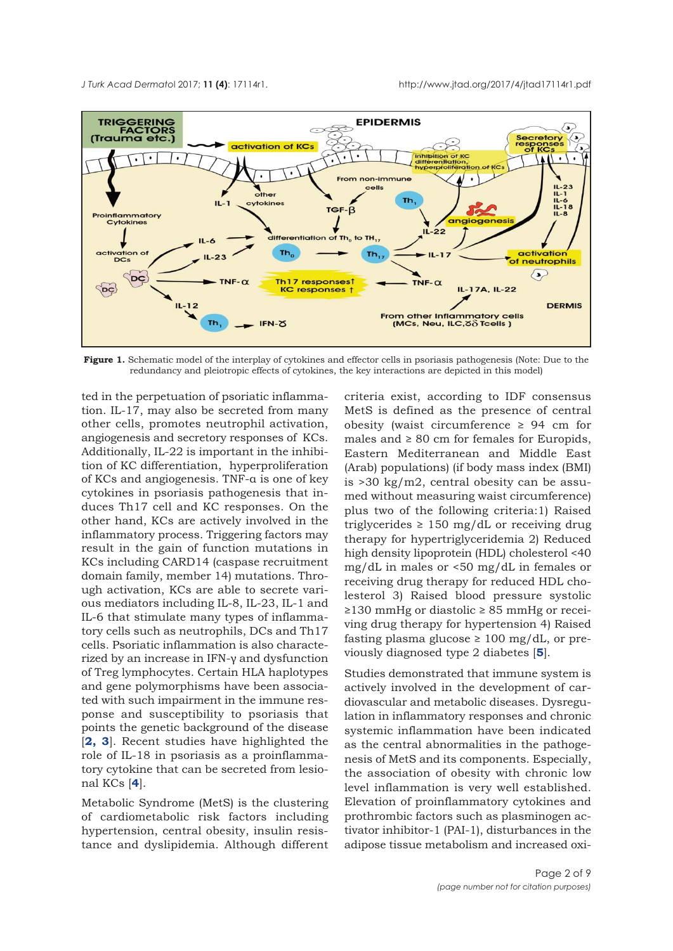<span id="page-1-0"></span>

**Figure 1.** Schematic model of the interplay of cytokines and effector cells in psoriasis pathogenesis (Note: Due to the redundancy and pleiotropic effects of cytokines, the key interactions are depicted in this model)

ted in the perpetuation of psoriatic inflammation. IL-17, may also be secreted from many other cells, promotes neutrophil activation, angiogenesis and secretory responses of KCs. Additionally, IL-22 is important in the inhibition of KC differentiation, hyperproliferation of KCs and angiogenesis. TNF-α is one of key cytokines in psoriasis pathogenesis that induces Th17 cell and KC responses. On the other hand, KCs are actively involved in the inflammatory process. Triggering factors may result in the gain of function mutations in KCs including CARD14 (caspase recruitment domain family, member 14) mutations. Through activation, KCs are able to secrete various mediators including IL-8, IL-23, IL-1 and IL-6 that stimulate many types of inflammatory cells such as neutrophils, DCs and Th17 cells. Psoriatic inflammation is also characterized by an increase in IFN-γ and dysfunction of Treg lymphocytes. Certain HLA haplotypes and gene polymorphisms have been associated with such impairment in the immune response and susceptibility to psoriasis that points the genetic background of the disease [**[2,](#page-7-0) [3](#page-7-0)**]. Recent studies have highlighted the role of IL-18 in psoriasis as a proinflammatory cytokine that can be secreted from lesional KCs [**[4](#page-7-0)**].

Metabolic Syndrome (MetS) is the clustering of cardiometabolic risk factors including hypertension, central obesity, insulin resistance and dyslipidemia. Although different criteria exist, according to IDF consensus MetS is defined as the presence of central obesity (waist circumference  $\geq$  94 cm for males and  $\geq 80$  cm for females for Europids, Eastern Mediterranean and Middle East (Arab) populations) (if body mass index (BMI) is >30 kg/m2, central obesity can be assumed without measuring waist circumference) plus two of the following criteria:1) Raised triglycerides  $\geq 150$  mg/dL or receiving drug therapy for hypertriglyceridemia 2) Reduced high density lipoprotein (HDL) cholesterol <40 mg/dL in males or <50 mg/dL in females or receiving drug therapy for reduced HDL cholesterol 3) Raised blood pressure systolic ≥130 mmHg or diastolic ≥ 85 mmHg or receiving drug therapy for hypertension 4) Raised fasting plasma glucose  $\geq 100$  mg/dL, or previously diagnosed type 2 diabetes [**[5](#page-7-0)**].

Studies demonstrated that immune system is actively involved in the development of cardiovascular and metabolic diseases. Dysregulation in inflammatory responses and chronic systemic inflammation have been indicated as the central abnormalities in the pathogenesis of MetS and its components. Especially, the association of obesity with chronic low level inflammation is very well established. Elevation of proinflammatory cytokines and prothrombic factors such as plasminogen activator inhibitor-1 (PAI-1), disturbances in the adipose tissue metabolism and increased oxi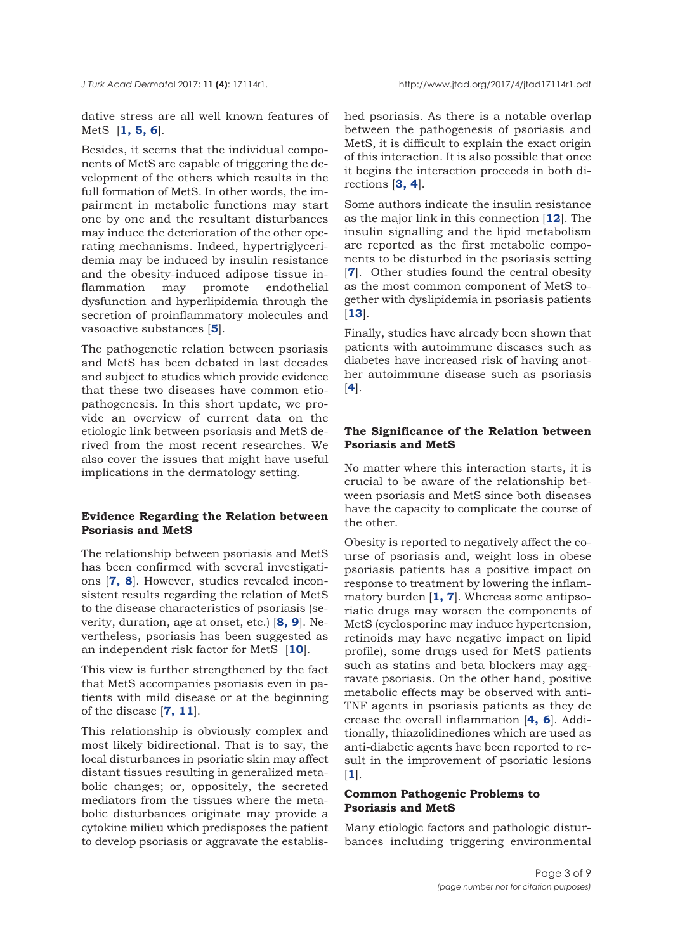dative stress are all well known features of MetS [**[1,](#page-7-0) [5](#page-7-0), [6](#page-7-0)**].

Besides, it seems that the individual components of MetS are capable of triggering the development of the others which results in the full formation of MetS. In other words, the impairment in metabolic functions may start one by one and the resultant disturbances may induce the deterioration of the other operating mechanisms. Indeed, hypertriglyceridemia may be induced by insulin resistance and the obesity-induced adipose tissue inflammation may promote endothelial dysfunction and hyperlipidemia through the secretion of proinflammatory molecules and vasoactive substances [**[5](#page-7-0)**].

The pathogenetic relation between psoriasis and MetS has been debated in last decades and subject to studies which provide evidence that these two diseases have common etiopathogenesis. In this short update, we provide an overview of current data on the etiologic link between psoriasis and MetS derived from the most recent researches. We also cover the issues that might have useful implications in the dermatology setting.

## **Evidence Regarding the Relation between Psoriasis and MetS**

The relationship between psoriasis and MetS has been confirmed with several investigations [**[7,](#page-7-0) [8](#page-7-0)**]. However, studies revealed inconsistent results regarding the relation of MetS to the disease characteristics of psoriasis (severity, duration, age at onset, etc.) [**[8](#page-7-0), [9](#page-7-0)**]. Nevertheless, psoriasis has been suggested as an independent risk factor for MetS [**[10](#page-7-0)**].

This view is further strengthened by the fact that MetS accompanies psoriasis even in patients with mild disease or at the beginning of the disease [**[7](#page-7-0), [11](#page-7-0)**].

This relationship is obviously complex and most likely bidirectional. That is to say, the local disturbances in psoriatic skin may affect distant tissues resulting in generalized metabolic changes; or, oppositely, the secreted mediators from the tissues where the metabolic disturbances originate may provide a cytokine milieu which predisposes the patient to develop psoriasis or aggravate the established psoriasis. As there is a notable overlap between the pathogenesis of psoriasis and MetS, it is difficult to explain the exact origin of this interaction. It is also possible that once it begins the interaction proceeds in both directions [**[3, 4](#page-7-0)**].

Some authors indicate the insulin resistance as the major link in this connection [**[12](#page-7-0)**]. The insulin signalling and the lipid metabolism are reported as the first metabolic components to be disturbed in the psoriasis setting [**[7](#page-7-0)**]. Other studies found the central obesity as the most common component of MetS together with dyslipidemia in psoriasis patients [**[13](#page-7-0)**].

Finally, studies have already been shown that patients with autoimmune diseases such as diabetes have increased risk of having another autoimmune disease such as psoriasis [**[4](#page-7-0)**].

## **The Significance of the Relation between Psoriasis and MetS**

No matter where this interaction starts, it is crucial to be aware of the relationship between psoriasis and MetS since both diseases have the capacity to complicate the course of the other.

Obesity is reported to negatively affect the course of psoriasis and, weight loss in obese psoriasis patients has a positive impact on response to treatment by lowering the inflammatory burden [**[1](#page-7-0), [7](#page-7-0)**]. Whereas some antipsoriatic drugs may worsen the components of MetS (cyclosporine may induce hypertension, retinoids may have negative impact on lipid profile), some drugs used for MetS patients such as statins and beta blockers may aggravate psoriasis. On the other hand, positive metabolic effects may be observed with anti-TNF agents in psoriasis patients as they de crease the overall inflammation [**[4](#page-7-0), [6](#page-7-0)**]. Additionally, thiazolidinediones which are used as anti-diabetic agents have been reported to result in the improvement of psoriatic lesions [**[1](#page-7-0)**].

## **Common Pathogenic Problems to Psoriasis and MetS**

Many etiologic factors and pathologic disturbances including triggering environmental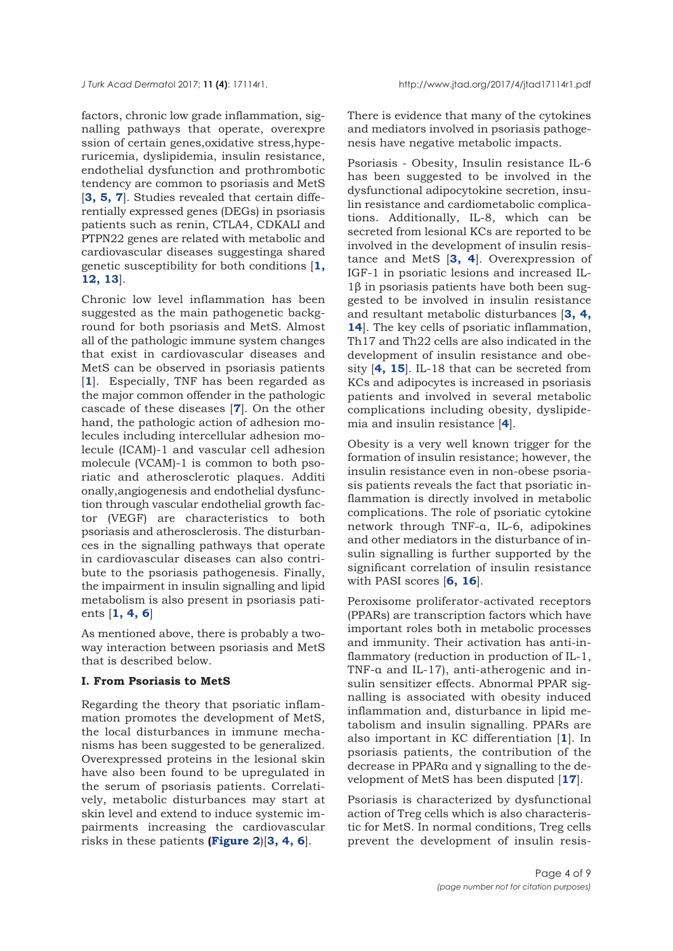factors, chronic low grade inflammation, signalling pathways that operate, overexpre ssion of certain genes,oxidative stress,hyperuricemia, dyslipidemia, insulin resistance, endothelial dysfunction and prothrombotic tendency are common to psoriasis and MetS [**[3,](#page-7-0) [5](#page-7-0), [7](#page-7-0)**]. Studies revealed that certain differentially expressed genes (DEGs) in psoriasis patients such as renin, CTLA4, CDKALI and PTPN22 genes are related with metabolic and cardiovascular diseases suggestinga shared genetic susceptibility for both conditions [**[1](#page-7-0), [12](#page-7-0), [13](#page-7-0)**].

Chronic low level inflammation has been suggested as the main pathogenetic background for both psoriasis and MetS. Almost all of the pathologic immune system changes that exist in cardiovascular diseases and MetS can be observed in psoriasis patients [**[1](#page-7-0)**]. Especially, TNF has been regarded as the major common offender in the pathologic cascade of these diseases [**[7](#page-7-0)**]. On the other hand, the pathologic action of adhesion molecules including intercellular adhesion molecule (ICAM)-1 and vascular cell adhesion molecule (VCAM)-1 is common to both psoriatic and atherosclerotic plaques. Additi onally,angiogenesis and endothelial dysfunction through vascular endothelial growth factor (VEGF) are characteristics to both psoriasis and atherosclerosis. The disturbances in the signalling pathways that operate in cardiovascular diseases can also contribute to the psoriasis pathogenesis. Finally, the impairment in insulin signalling and lipid metabolism is also present in psoriasis patients [**[1, 4,](#page-7-0) [6](#page-7-0)**]

As mentioned above, there is probably a twoway interaction between psoriasis and MetS that is described below.

#### **I. From Psoriasis to MetS**

Regarding the theory that psoriatic inflammation promotes the development of MetS, the local disturbances in immune mechanisms has been suggested to be generalized. Overexpressed proteins in the lesional skin have also been found to be upregulated in the serum of psoriasis patients. Correlatively, metabolic disturbances may start at skin level and extend to induce systemic impairments increasing the cardiovascular risks in these patients **[\(Figure 2](#page-4-0)**)[**[3, 4, 6](#page-7-0)**].

There is evidence that many of the cytokines and mediators involved in psoriasis pathogenesis have negative metabolic impacts.

Psoriasis - Obesity, Insulin resistance IL-6 has been suggested to be involved in the dysfunctional adipocytokine secretion, insulin resistance and cardiometabolic complications. Additionally, IL-8, which can be secreted from lesional KCs are reported to be involved in the development of insulin resistance and MetS [**[3, 4](#page-7-0)**]. Overexpression of IGF-1 in psoriatic lesions and increased IL-1β in psoriasis patients have both been suggested to be involved in insulin resistance and resultant metabolic disturbances [**[3,](#page-7-0) [4,](#page-7-0) [14](#page-7-0)**]. The key cells of psoriatic inflammation, Th17 and Th22 cells are also indicated in the development of insulin resistance and obesity [**[4](#page-7-0), [15](#page-7-0)**]. IL-18 that can be secreted from KCs and adipocytes is increased in psoriasis patients and involved in several metabolic complications including obesity, dyslipidemia and insulin resistance [**[4](#page-7-0)**].

Obesity is a very well known trigger for the formation of insulin resistance; however, the insulin resistance even in non-obese psoriasis patients reveals the fact that psoriatic inflammation is directly involved in metabolic complications. The role of psoriatic cytokine network through TNF-α, IL-6, adipokines and other mediators in the disturbance of insulin signalling is further supported by the significant correlation of insulin resistance with PASI scores [**[6,](#page-7-0) [16](#page-7-0)**].

Peroxisome proliferator-activated receptors (PPARs) are transcription factors which have important roles both in metabolic processes and immunity. Their activation has anti-inflammatory (reduction in production of IL-1, TNF-α and IL-17), anti-atherogenic and insulin sensitizer effects. Abnormal PPAR signalling is associated with obesity induced inflammation and, disturbance in lipid metabolism and insulin signalling. PPARs are also important in KC differentiation [**[1](#page-7-0)**]. In psoriasis patients, the contribution of the decrease in PPARα and γ signalling to the development of MetS has been disputed [**[17](#page-7-0)**].

Psoriasis is characterized by dysfunctional action of Treg cells which is also characteristic for MetS. In normal conditions, Treg cells prevent the development of insulin resis-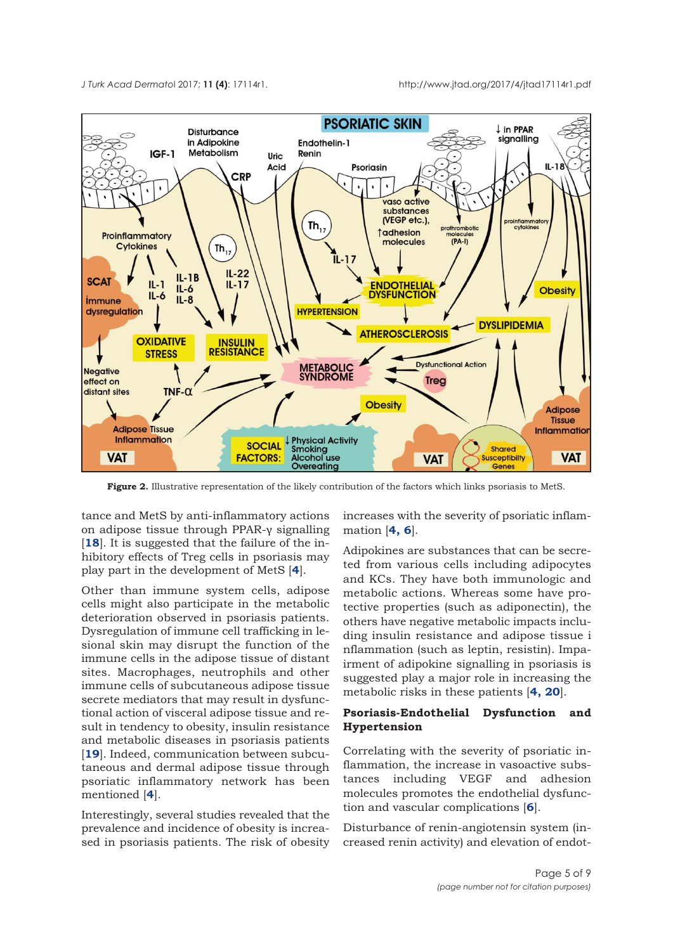<span id="page-4-0"></span>

**Figure 2.** Illustrative representation of the likely contribution of the factors which links psoriasis to MetS.

tance and MetS by anti-inflammatory actions on adipose tissue through PPAR-γ signalling [18]. It is suggested that the failure of the inhibitory effects of Treg cells in psoriasis may play part in the development of MetS [**[4](#page-7-0)**].

Other than immune system cells, adipose cells might also participate in the metabolic deterioration observed in psoriasis patients. Dysregulation of immune cell trafficking in lesional skin may disrupt the function of the immune cells in the adipose tissue of distant sites. Macrophages, neutrophils and other immune cells of subcutaneous adipose tissue secrete mediators that may result in dysfunctional action of visceral adipose tissue and result in tendency to obesity, insulin resistance and metabolic diseases in psoriasis patients [[19](#page-8-0)]. Indeed, communication between subcutaneous and dermal adipose tissue through psoriatic inflammatory network has been mentioned [**[4](#page-7-0)**].

Interestingly, several studies revealed that the prevalence and incidence of obesity is increased in psoriasis patients. The risk of obesity

increases with the severity of psoriatic inflammation [**[4, 6](#page-7-0)**].

Adipokines are substances that can be secreted from various cells including adipocytes and KCs. They have both immunologic and metabolic actions. Whereas some have protective properties (such as adiponectin), the others have negative metabolic impacts including insulin resistance and adipose tissue i nflammation (such as leptin, resistin). Impairment of adipokine signalling in psoriasis is suggested play a major role in increasing the metabolic risks in these patients [**[4,](#page-7-0) [20](#page-8-0)**].

## **Psoriasis-Endothelial Dysfunction and Hypertension**

Correlating with the severity of psoriatic inflammation, the increase in vasoactive substances including VEGF and adhesion molecules promotes the endothelial dysfunction and vascular complications [**[6](#page-7-0)**].

Disturbance of renin-angiotensin system (increased renin activity) and elevation of endot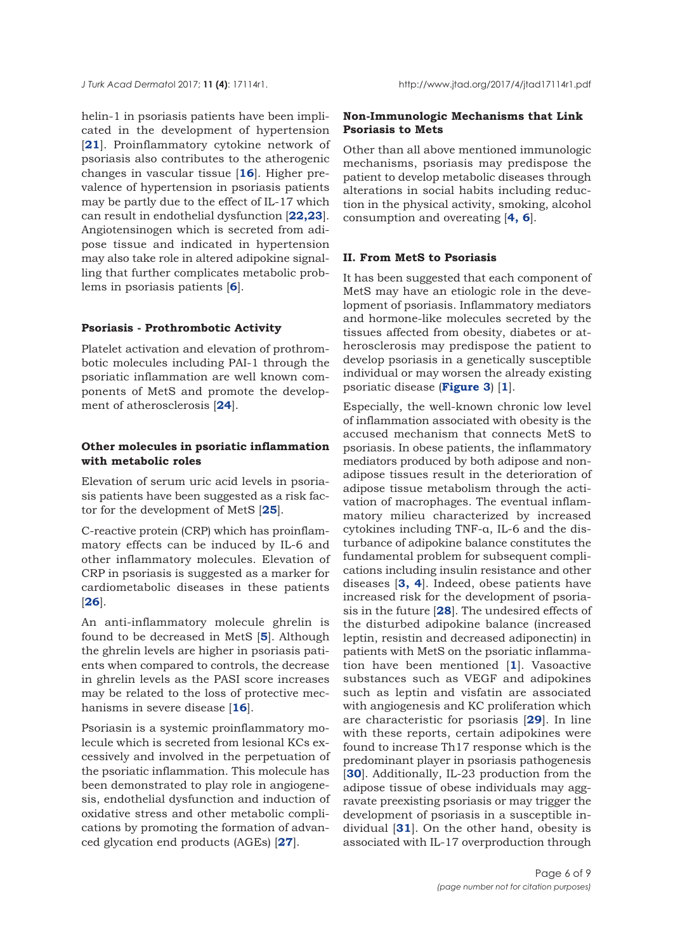helin-1 in psoriasis patients have been implicated in the development of hypertension [**[21](#page-8-0)**]. Proinflammatory cytokine network of psoriasis also contributes to the atherogenic changes in vascular tissue [**[16](#page-7-0)**]. Higher prevalence of hypertension in psoriasis patients may be partly due to the effect of IL-17 which can result in endothelial dysfunction [**[22,23](#page-8-0)**]. Angiotensinogen which is secreted from adipose tissue and indicated in hypertension may also take role in altered adipokine signalling that further complicates metabolic problems in psoriasis patients [**[6](#page-7-0)**].

#### **Psoriasis - Prothrombotic Activity**

Platelet activation and elevation of prothrombotic molecules including PAI-1 through the psoriatic inflammation are well known components of MetS and promote the development of atherosclerosis [**[24](#page-8-0)**].

## **Other molecules in psoriatic inflammation with metabolic roles**

Elevation of serum uric acid levels in psoriasis patients have been suggested as a risk factor for the development of MetS [**[25](#page-8-0)**].

C-reactive protein (CRP) which has proinflammatory effects can be induced by IL-6 and other inflammatory molecules. Elevation of CRP in psoriasis is suggested as a marker for cardiometabolic diseases in these patients [**[26](#page-8-0)**].

An anti-inflammatory molecule ghrelin is found to be decreased in MetS [**[5](#page-7-0)**]. Although the ghrelin levels are higher in psoriasis patients when compared to controls, the decrease in ghrelin levels as the PASI score increases may be related to the loss of protective mechanisms in severe disease [**[16](#page-7-0)**].

Psoriasin is a systemic proinflammatory molecule which is secreted from lesional KCs excessively and involved in the perpetuation of the psoriatic inflammation. This molecule has been demonstrated to play role in angiogenesis, endothelial dysfunction and induction of oxidative stress and other metabolic complications by promoting the formation of advanced glycation end products (AGEs) [**[27](#page-8-0)**].

## **Non-Immunologic Mechanisms that Link Psoriasis to Mets**

Other than all above mentioned immunologic mechanisms, psoriasis may predispose the patient to develop metabolic diseases through alterations in social habits including reduction in the physical activity, smoking, alcohol consumption and overeating [**[4, 6](#page-7-0)**].

### **II. From MetS to Psoriasis**

It has been suggested that each component of MetS may have an etiologic role in the development of psoriasis. Inflammatory mediators and hormone-like molecules secreted by the tissues affected from obesity, diabetes or atherosclerosis may predispose the patient to develop psoriasis in a genetically susceptible individual or may worsen the already existing psoriatic disease (**[Figure 3](#page-6-0)**) [**[1](#page-7-0)**].

Especially, the well-known chronic low level of inflammation associated with obesity is the accused mechanism that connects MetS to psoriasis. In obese patients, the inflammatory mediators produced by both adipose and nonadipose tissues result in the deterioration of adipose tissue metabolism through the activation of macrophages. The eventual inflammatory milieu characterized by increased cytokines including TNF-α, IL-6 and the disturbance of adipokine balance constitutes the fundamental problem for subsequent complications including insulin resistance and other diseases [**[3,](#page-7-0) [4](#page-7-0)**]. Indeed, obese patients have increased risk for the development of psoriasis in the future [**[28](#page-8-0)**]. The undesired effects of the disturbed adipokine balance (increased leptin, resistin and decreased adiponectin) in patients with MetS on the psoriatic inflammation have been mentioned [**[1](#page-7-0)**]. Vasoactive substances such as VEGF and adipokines such as leptin and visfatin are associated with angiogenesis and KC proliferation which are characteristic for psoriasis [**[29](#page-8-0)**]. In line with these reports, certain adipokines were found to increase Th17 response which is the predominant player in psoriasis pathogenesis [[30](#page-8-0)]. Additionally, IL-23 production from the adipose tissue of obese individuals may aggravate preexisting psoriasis or may trigger the development of psoriasis in a susceptible individual [**[31](#page-8-0)**]. On the other hand, obesity is associated with IL-17 overproduction through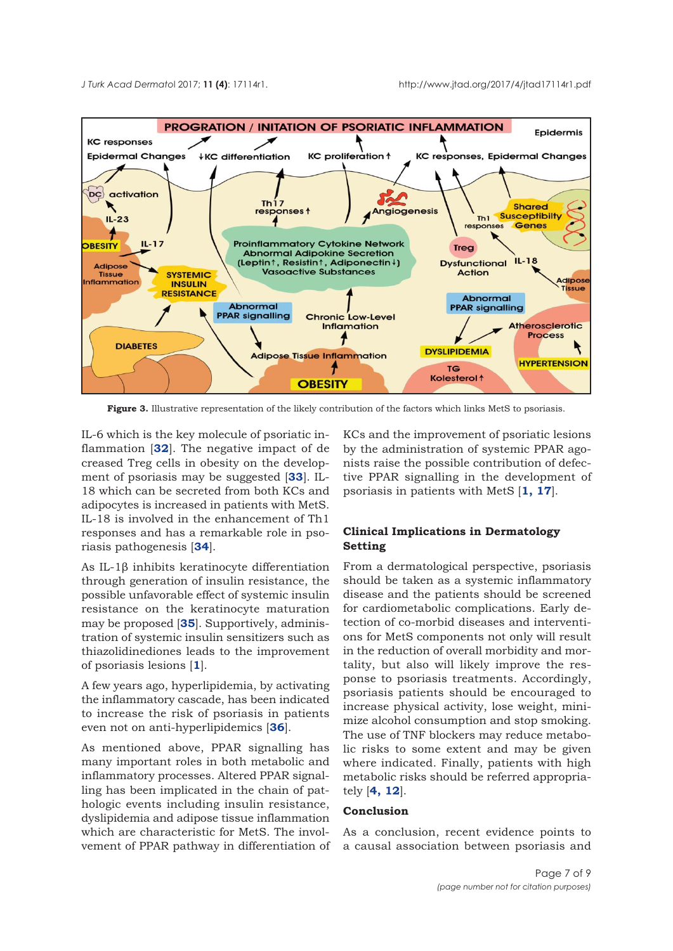<span id="page-6-0"></span>

Figure 3. Illustrative representation of the likely contribution of the factors which links MetS to psoriasis.

IL-6 which is the key molecule of psoriatic inflammation [**[32](#page-8-0)**]. The negative impact of de creased Treg cells in obesity on the development of psoriasis may be suggested [**[33](#page-8-0)**]. IL-18 which can be secreted from both KCs and adipocytes is increased in patients with MetS. IL-18 is involved in the enhancement of Th1 responses and has a remarkable role in psoriasis pathogenesis [**[34](#page-8-0)**].

As IL-1β inhibits keratinocyte differentiation through generation of insulin resistance, the possible unfavorable effect of systemic insulin resistance on the keratinocyte maturation may be proposed [**[35](#page-8-0)**]. Supportively, administration of systemic insulin sensitizers such as thiazolidinediones leads to the improvement of psoriasis lesions [**[1](#page-7-0)**].

A few years ago, hyperlipidemia, by activating the inflammatory cascade, has been indicated to increase the risk of psoriasis in patients even not on anti-hyperlipidemics [**[36](#page-8-0)**].

As mentioned above, PPAR signalling has many important roles in both metabolic and inflammatory processes. Altered PPAR signalling has been implicated in the chain of pathologic events including insulin resistance, dyslipidemia and adipose tissue inflammation which are characteristic for MetS. The involvement of PPAR pathway in differentiation of KCs and the improvement of psoriatic lesions by the administration of systemic PPAR agonists raise the possible contribution of defective PPAR signalling in the development of psoriasis in patients with MetS [**[1](#page-7-0), [17](#page-7-0)**].

## **Clinical Implications in Dermatology Setting**

From a dermatological perspective, psoriasis should be taken as a systemic inflammatory disease and the patients should be screened for cardiometabolic complications. Early detection of co-morbid diseases and interventions for MetS components not only will result in the reduction of overall morbidity and mortality, but also will likely improve the response to psoriasis treatments. Accordingly, psoriasis patients should be encouraged to increase physical activity, lose weight, minimize alcohol consumption and stop smoking. The use of TNF blockers may reduce metabolic risks to some extent and may be given where indicated. Finally, patients with high metabolic risks should be referred appropriately [**[4, 12](#page-7-0)**].

## **Conclusion**

As a conclusion, recent evidence points to a causal association between psoriasis and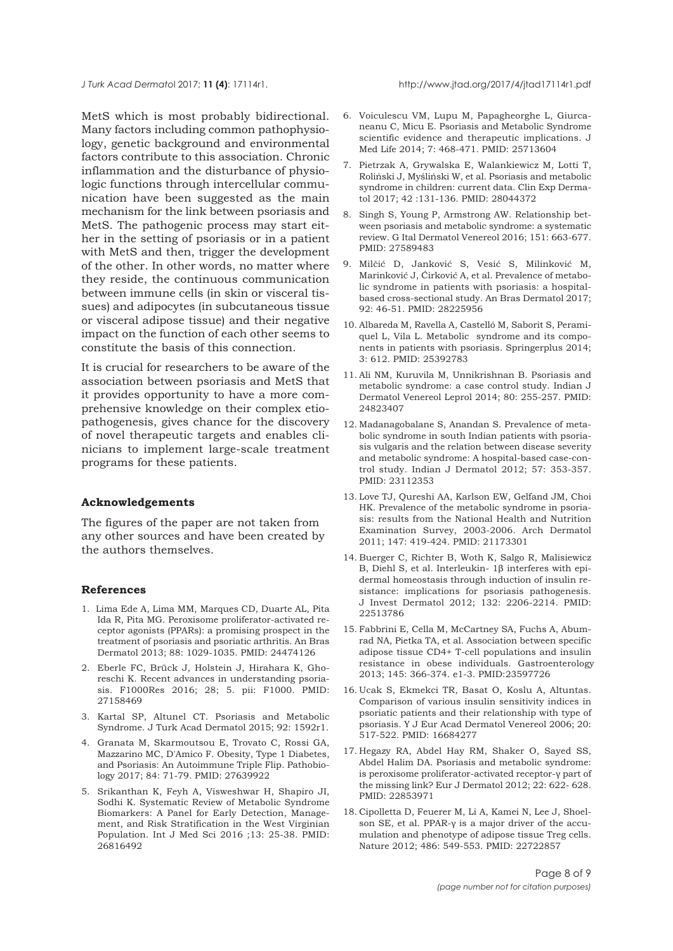<span id="page-7-0"></span>

MetS which is most probably bidirectional. Many factors including common pathophysiology, genetic background and environmental factors contribute to this association. Chronic inflammation and the disturbance of physiologic functions through intercellular communication have been suggested as the main mechanism for the link between psoriasis and MetS. The pathogenic process may start either in the setting of psoriasis or in a patient with MetS and then, trigger the development of the other. In other words, no matter where they reside, the continuous communication between immune cells (in skin or visceral tissues) and adipocytes (in subcutaneous tissue or visceral adipose tissue) and their negative impact on the function of each other seems to constitute the basis of this connection.

It is crucial for researchers to be aware of the association between psoriasis and MetS that it provides opportunity to have a more comprehensive knowledge on their complex etiopathogenesis, gives chance for the discovery of novel therapeutic targets and enables clinicians to implement large-scale treatment programs for these patients.

#### **Acknowledgements**

The figures of the paper are not taken from any other sources and have been created by the authors themselves.

#### **References**

- 1. Lima Ede A, Lima MM, Marques CD, Duarte AL, Pita Ida R, Pita MG. Peroxisome proliferator-activated receptor agonists (PPARs): a promising prospect in the treatment of psoriasis and psoriatic arthritis. An Bras Dermatol 2013; 88: 1029-1035. PMID: 24474126
- 2. Eberle FC, Brück J, Holstein J, Hirahara K, Ghoreschi K. Recent advances in understanding psoriasis. F1000Res 2016; 28; 5. pii: F1000. PMID: 27158469
- 3. Kartal SP, Altunel CT. Psoriasis and Metabolic Syndrome. J Turk Acad Dermatol 2015; 92: 1592r1.
- 4. Granata M, Skarmoutsou E, Trovato C, Rossi GA, Mazzarino MC, D'Amico F. Obesity, Type 1 Diabetes, and Psoriasis: An Autoimmune Triple Flip. Pathobiology 2017; 84: 71-79. PMID: 27639922
- 5. Srikanthan K, Feyh A, Visweshwar H, Shapiro JI, Sodhi K. Systematic Review of Metabolic Syndrome Biomarkers: A Panel for Early Detection, Management, and Risk Stratification in the West Virginian Population. Int J Med Sci 2016 ;13: 25-38. PMID: 26816492
- 6. Voiculescu VM, Lupu M, Papagheorghe L, Giurcaneanu C, Micu E. Psoriasis and Metabolic Syndrome scientific evidence and therapeutic implications. J Med Life 2014; 7: 468-471. PMID: 25713604
- 7. Pietrzak A, Grywalska E, Walankiewicz M, Lotti T, Roliński J, Myśliński W, et al. Psoriasis and metabolic syndrome in children: current data. Clin Exp Dermatol 2017; 42 :131-136. PMID: 28044372
- 8. Singh S, Young P, Armstrong AW. Relationship between psoriasis and metabolic syndrome: a systematic review. G Ital Dermatol Venereol 2016; 151: 663-677. PMID: 27589483
- 9. Milčić D, Janković S, Vesić S, Milinković M, Marinković J, Ćirković A, et al. Prevalence of metabolic syndrome in patients with psoriasis: a hospitalbased cross-sectional study. An Bras Dermatol 2017; 92: 46-51. PMID: 28225956
- 10. Albareda M, Ravella A, Castelló M, Saborit S, Peramiquel L, Vila L. Metabolic syndrome and its components in patients with psoriasis. Springerplus 2014; 3: 612. PMID: 25392783
- 11. Ali NM, Kuruvila M, Unnikrishnan B. Psoriasis and metabolic syndrome: a case control study. Indian J Dermatol Venereol Leprol 2014; 80: 255-257. PMID: 24823407
- 12. Madanagobalane S, Anandan S. Prevalence of metabolic syndrome in south Indian patients with psoriasis vulgaris and the relation between disease severity and metabolic syndrome: A hospital-based case-control study. Indian J Dermatol 2012; 57: 353-357. PMID: 23112353
- 13. Love TJ, Qureshi AA, Karlson EW, Gelfand JM, Choi HK. Prevalence of the metabolic syndrome in psoriasis: results from the National Health and Nutrition Examination Survey, 2003-2006. Arch Dermatol 2011; 147: 419-424. PMID: 21173301
- 14. Buerger C, Richter B, Woth K, Salgo R, Malisiewicz B, Diehl S, et al. Interleukin- 1β interferes with epidermal homeostasis through induction of insulin resistance: implications for psoriasis pathogenesis. J Invest Dermatol 2012; 132: 2206-2214. PMID: 22513786
- 15. Fabbrini E, Cella M, McCartney SA, Fuchs A, Abumrad NA, Pietka TA, et al. Association between specific adipose tissue CD4+ T-cell populations and insulin resistance in obese individuals. Gastroenterology 2013; 145: 366-374. e1-3. PMID:23597726
- 16. Ucak S, Ekmekci TR, Basat O, Koslu A, Altuntas. Comparison of various insulin sensitivity indices in psoriatic patients and their relationship with type of psoriasis. Y J Eur Acad Dermatol Venereol 2006; 20: 517-522. PMID: 16684277
- 17. Hegazy RA, Abdel Hay RM, Shaker O, Sayed SS, Abdel Halim DA. Psoriasis and metabolic syndrome: is peroxisome proliferator-activated receptor-γ part of the missing link? Eur J Dermatol 2012; 22: 622- 628. PMID: 22853971
- 18. Cipolletta D, Feuerer M, Li A, Kamei N, Lee J, Shoelson SE, et al. PPAR-γ is a major driver of the accumulation and phenotype of adipose tissue Treg cells. Nature 2012; 486: 549-553. PMID: 22722857